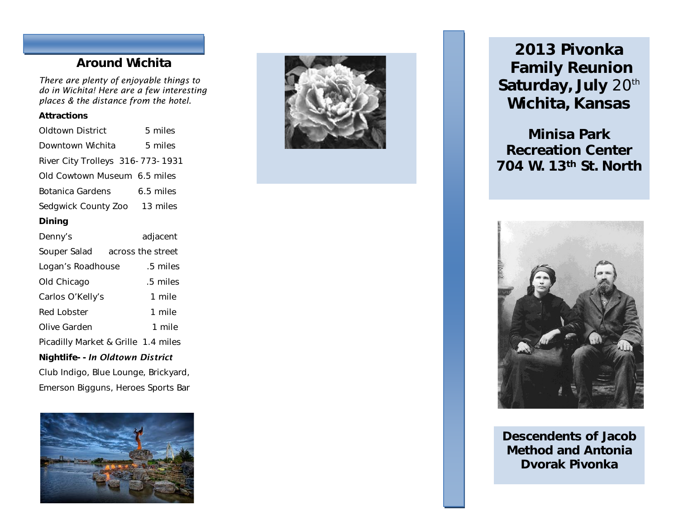### Around Wichita

*There are plenty of enjoyable things to do in Wichita! Here are a few interesting places & the distance from the hotel.*

#### **Attractions**

| Oldtown District                     | 5 miles   |
|--------------------------------------|-----------|
| Downtown Wichita                     | 5 miles   |
| River City Trolleys 316-773-1931     |           |
| Old Cowtown Museum 6.5 miles         |           |
| Botanica Gardens                     | 6.5 miles |
| Sedgwick County Zoo 13 miles         |           |
| Dining                               |           |
| Denny's                              | adjacent  |
| Souper Salad across the street       |           |
| Logan's Roadhouse                    | .5 miles  |
| Old Chicago                          | .5 miles  |
| Carlos O'Kelly's                     | 1 mile    |
| Red Lobster                          | 1 mile    |
| Olive Garden                         | 1 mile    |
| Picadilly Market & Grille 1.4 miles  |           |
| Nightlife--In Oldtown District       |           |
| Club Indigo, Blue Lounge, Brickyard, |           |
| Emerson Bigguns, Heroes Sports Bar   |           |





2013 Pivonka Family Reunion Saturday, July 20<sup>th</sup> Wichita, Kansas

Minisa Park Recreation Center 704 W. 13th St. North



 Method and Antonia Descendents of Jacob Dvorak Pivonka